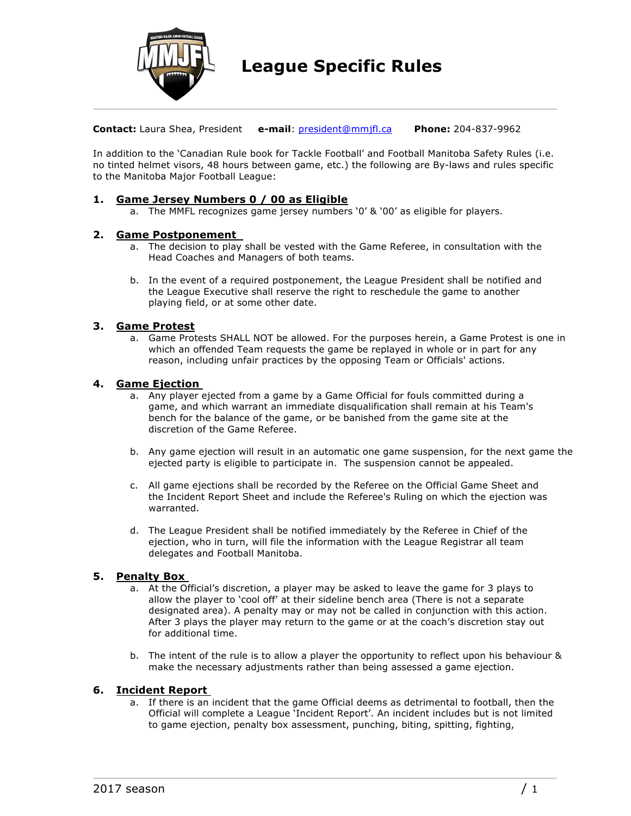

**Contact:** Laura Shea, President **e-mail**: president@mmjfl.ca **Phone:** 204-837-9962

In addition to the 'Canadian Rule book for Tackle Football' and Football Manitoba Safety Rules (i.e. no tinted helmet visors, 48 hours between game, etc.) the following are By-laws and rules specific to the Manitoba Major Football League:

## **1. Game Jersey Numbers 0 / 00 as Eligible**

a. The MMFL recognizes game jersey numbers '0' & '00' as eligible for players.

## **2. Game Postponement**

- a. The decision to play shall be vested with the Game Referee, in consultation with the Head Coaches and Managers of both teams.
- b. In the event of a required postponement, the League President shall be notified and the League Executive shall reserve the right to reschedule the game to another playing field, or at some other date.

## **3. Game Protest**

a. Game Protests SHALL NOT be allowed. For the purposes herein, a Game Protest is one in which an offended Team requests the game be replayed in whole or in part for any reason, including unfair practices by the opposing Team or Officials' actions.

## **4. Game Ejection**

- a. Any player ejected from a game by a Game Official for fouls committed during a game, and which warrant an immediate disqualification shall remain at his Team's bench for the balance of the game, or be banished from the game site at the discretion of the Game Referee.
- b. Any game ejection will result in an automatic one game suspension, for the next game the ejected party is eligible to participate in. The suspension cannot be appealed.
- c. All game ejections shall be recorded by the Referee on the Official Game Sheet and the Incident Report Sheet and include the Referee's Ruling on which the ejection was warranted.
- d. The League President shall be notified immediately by the Referee in Chief of the ejection, who in turn, will file the information with the League Registrar all team delegates and Football Manitoba.

# **5. Penalty Box**

- a. At the Official's discretion, a player may be asked to leave the game for 3 plays to allow the player to 'cool off' at their sideline bench area (There is not a separate designated area). A penalty may or may not be called in conjunction with this action. After 3 plays the player may return to the game or at the coach's discretion stay out for additional time.
- b. The intent of the rule is to allow a player the opportunity to reflect upon his behaviour & make the necessary adjustments rather than being assessed a game ejection.

## **6. Incident Report**

a. If there is an incident that the game Official deems as detrimental to football, then the Official will complete a League 'Incident Report'. An incident includes but is not limited to game ejection, penalty box assessment, punching, biting, spitting, fighting,